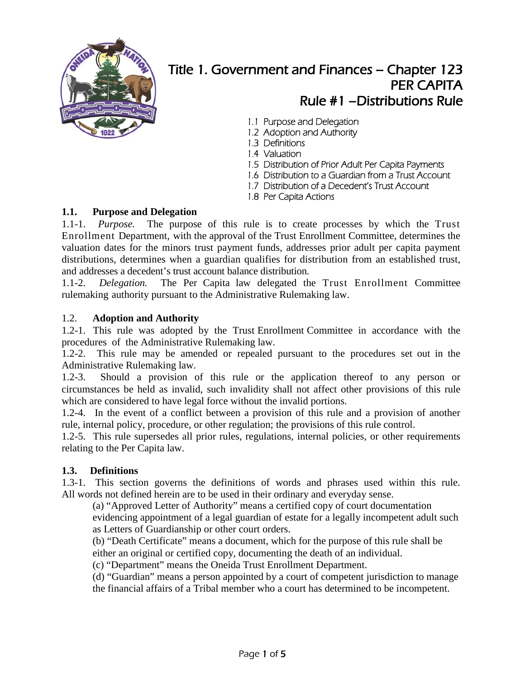

# Title 1. Government and Finances – Chapter 123 PER CAPITA Rule #1 –Distributions Rule

- 1.1 Purpose and Delegation
- 1.2 Adoption and Authority
- 1.3 Definitions
- 1.4 Valuation
- 1.5 Distribution of Prior Adult Per Capita Payments
- 1.6 Distribution to a Guardian from a Trust Account
- 1.7 Distribution of a Decedent's Trust Account
- 1.8 Per Capita Actions

## **1.1. Purpose and Delegation**

1.1-1. *Purpose.* The purpose of this rule is to create processes by which the Trust Enrollment Department, with the approval of the Trust Enrollment Committee, determines the valuation dates for the minors trust payment funds, addresses prior adult per capita payment distributions, determines when a guardian qualifies for distribution from an established trust, and addresses a decedent's trust account balance distribution.

1.1-2. *Delegation.* The Per Capita law delegated the Trust Enrollment Committee rulemaking authority pursuant to the Administrative Rulemaking law.

# 1.2. **Adoption and Authority**

1.2-1. This rule was adopted by the Trust Enrollment Committee in accordance with the procedures of the Administrative Rulemaking law.

1.2-2. This rule may be amended or repealed pursuant to the procedures set out in the Administrative Rulemaking law.

1.2-3. Should a provision of this rule or the application thereof to any person or circumstances be held as invalid, such invalidity shall not affect other provisions of this rule which are considered to have legal force without the invalid portions.

1.2-4. In the event of a conflict between a provision of this rule and a provision of another rule, internal policy, procedure, or other regulation; the provisions of this rule control.

1.2-5. This rule supersedes all prior rules, regulations, internal policies, or other requirements relating to the Per Capita law.

#### **1.3. Definitions**

1.3-1. This section governs the definitions of words and phrases used within this rule. All words not defined herein are to be used in their ordinary and everyday sense.

(a) "Approved Letter of Authority" means a certified copy of court documentation evidencing appointment of a legal guardian of estate for a legally incompetent adult such as Letters of Guardianship or other court orders.

(b) "Death Certificate" means a document, which for the purpose of this rule shall be either an original or certified copy, documenting the death of an individual.

(c) "Department" means the Oneida Trust Enrollment Department.

(d) "Guardian" means a person appointed by a court of competent jurisdiction to manage the financial affairs of a Tribal member who a court has determined to be incompetent.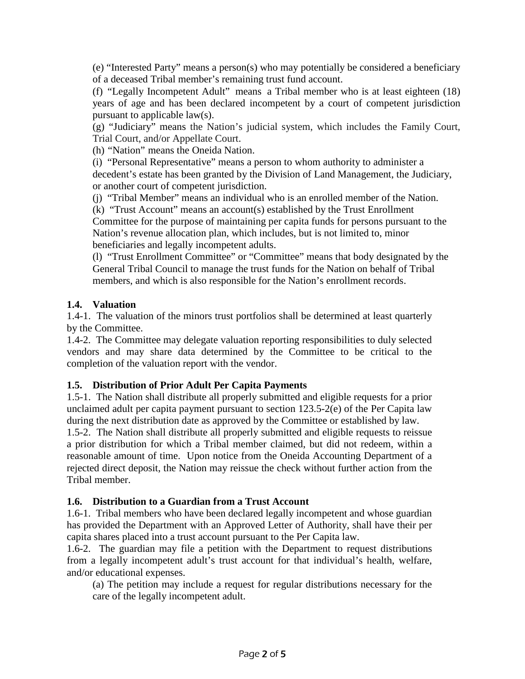(e) "Interested Party" means a person(s) who may potentially be considered a beneficiary of a deceased Tribal member's remaining trust fund account.

(f) "Legally Incompetent Adult" means a Tribal member who is at least eighteen (18) years of age and has been declared incompetent by a court of competent jurisdiction pursuant to applicable law(s).

(g) "Judiciary" means the Nation's judicial system, which includes the Family Court, Trial Court, and/or Appellate Court.

(h) "Nation" means the Oneida Nation.

(i) "Personal Representative" means a person to whom authority to administer a decedent's estate has been granted by the Division of Land Management, the Judiciary, or another court of competent jurisdiction.

(j) "Tribal Member" means an individual who is an enrolled member of the Nation. (k) "Trust Account" means an account(s) established by the Trust Enrollment

Committee for the purpose of maintaining per capita funds for persons pursuant to the Nation's revenue allocation plan, which includes, but is not limited to, minor beneficiaries and legally incompetent adults.

(l) "Trust Enrollment Committee" or "Committee" means that body designated by the General Tribal Council to manage the trust funds for the Nation on behalf of Tribal members, and which is also responsible for the Nation's enrollment records.

## **1.4. Valuation**

1.4-1. The valuation of the minors trust portfolios shall be determined at least quarterly by the Committee.

1.4-2. The Committee may delegate valuation reporting responsibilities to duly selected vendors and may share data determined by the Committee to be critical to the completion of the valuation report with the vendor.

# **1.5. Distribution of Prior Adult Per Capita Payments**

1.5-1. The Nation shall distribute all properly submitted and eligible requests for a prior unclaimed adult per capita payment pursuant to section 123.5-2(e) of the Per Capita law during the next distribution date as approved by the Committee or established by law.

1.5-2. The Nation shall distribute all properly submitted and eligible requests to reissue a prior distribution for which a Tribal member claimed, but did not redeem, within a reasonable amount of time. Upon notice from the Oneida Accounting Department of a rejected direct deposit, the Nation may reissue the check without further action from the Tribal member.

# **1.6. Distribution to a Guardian from a Trust Account**

1.6-1. Tribal members who have been declared legally incompetent and whose guardian has provided the Department with an Approved Letter of Authority, shall have their per capita shares placed into a trust account pursuant to the Per Capita law.

1.6-2. The guardian may file a petition with the Department to request distributions from a legally incompetent adult's trust account for that individual's health, welfare, and/or educational expenses.

(a) The petition may include a request for regular distributions necessary for the care of the legally incompetent adult.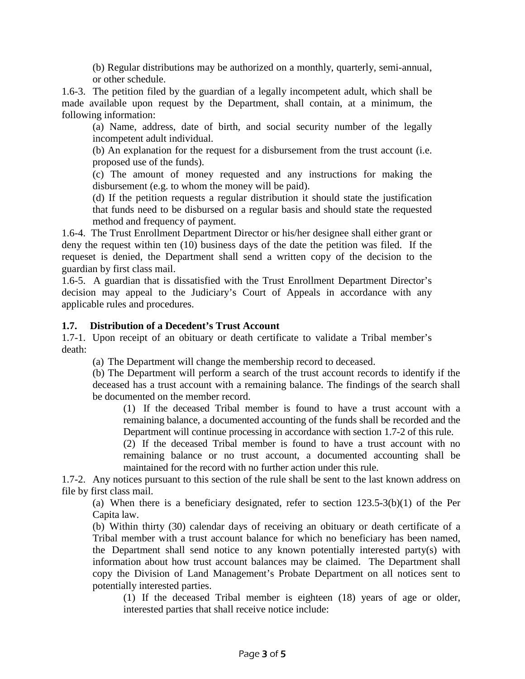(b) Regular distributions may be authorized on a monthly, quarterly, semi-annual, or other schedule.

1.6-3. The petition filed by the guardian of a legally incompetent adult, which shall be made available upon request by the Department, shall contain, at a minimum, the following information:

(a) Name, address, date of birth, and social security number of the legally incompetent adult individual.

(b) An explanation for the request for a disbursement from the trust account (i.e. proposed use of the funds).

(c) The amount of money requested and any instructions for making the disbursement (e.g. to whom the money will be paid).

(d) If the petition requests a regular distribution it should state the justification that funds need to be disbursed on a regular basis and should state the requested method and frequency of payment.

1.6-4. The Trust Enrollment Department Director or his/her designee shall either grant or deny the request within ten (10) business days of the date the petition was filed. If the requeset is denied, the Department shall send a written copy of the decision to the guardian by first class mail.

1.6-5. A guardian that is dissatisfied with the Trust Enrollment Department Director's decision may appeal to the Judiciary's Court of Appeals in accordance with any applicable rules and procedures.

#### **1.7. Distribution of a Decedent's Trust Account**

1.7-1. Upon receipt of an obituary or death certificate to validate a Tribal member's death:

(a) The Department will change the membership record to deceased.

(b) The Department will perform a search of the trust account records to identify if the deceased has a trust account with a remaining balance. The findings of the search shall be documented on the member record.

(1) If the deceased Tribal member is found to have a trust account with a remaining balance, a documented accounting of the funds shall be recorded and the Department will continue processing in accordance with section 1.7-2 of this rule.

(2) If the deceased Tribal member is found to have a trust account with no remaining balance or no trust account, a documented accounting shall be maintained for the record with no further action under this rule.

1.7-2. Any notices pursuant to this section of the rule shall be sent to the last known address on file by first class mail.

(a) When there is a beneficiary designated, refer to section 123.5-3(b)(1) of the Per Capita law.

(b) Within thirty (30) calendar days of receiving an obituary or death certificate of a Tribal member with a trust account balance for which no beneficiary has been named, the Department shall send notice to any known potentially interested party(s) with information about how trust account balances may be claimed. The Department shall copy the Division of Land Management's Probate Department on all notices sent to potentially interested parties.

(1) If the deceased Tribal member is eighteen (18) years of age or older, interested parties that shall receive notice include: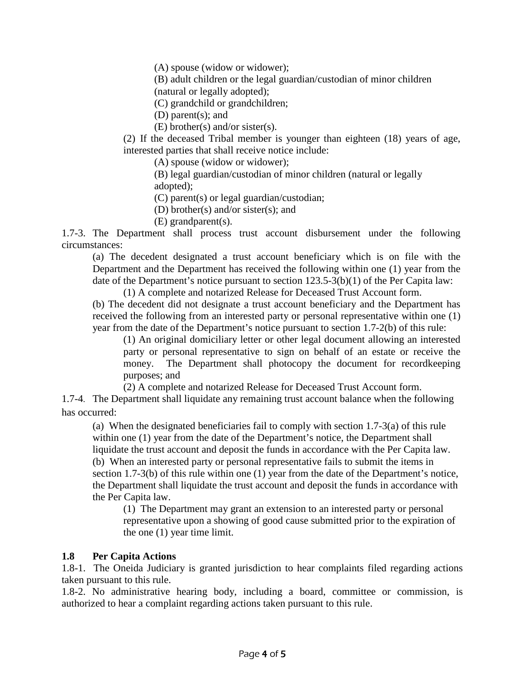(A) spouse (widow or widower);

(B) adult children or the legal guardian/custodian of minor children (natural or legally adopted);

(C) grandchild or grandchildren;

(D) parent(s); and

(E) brother(s) and/or sister(s).

(2) If the deceased Tribal member is younger than eighteen (18) years of age, interested parties that shall receive notice include:

(A) spouse (widow or widower);

(B) legal guardian/custodian of minor children (natural or legally adopted);

(C) parent(s) or legal guardian/custodian;

(D) brother(s) and/or sister(s); and

(E) grandparent(s).

1.7-3. The Department shall process trust account disbursement under the following circumstances:

(a) The decedent designated a trust account beneficiary which is on file with the Department and the Department has received the following within one (1) year from the date of the Department's notice pursuant to section 123.5-3(b)(1) of the Per Capita law:

(1) A complete and notarized Release for Deceased Trust Account form.

(b) The decedent did not designate a trust account beneficiary and the Department has received the following from an interested party or personal representative within one (1) year from the date of the Department's notice pursuant to section 1.7-2(b) of this rule:

(1) An original domiciliary letter or other legal document allowing an interested party or personal representative to sign on behalf of an estate or receive the money. The Department shall photocopy the document for recordkeeping purposes; and

(2) A complete and notarized Release for Deceased Trust Account form.

1.7-4. The Department shall liquidate any remaining trust account balance when the following has occurred:

(a) When the designated beneficiaries fail to comply with section 1.7-3(a) of this rule within one (1) year from the date of the Department's notice, the Department shall liquidate the trust account and deposit the funds in accordance with the Per Capita law. (b) When an interested party or personal representative fails to submit the items in section 1.7-3(b) of this rule within one (1) year from the date of the Department's notice, the Department shall liquidate the trust account and deposit the funds in accordance with the Per Capita law.

(1) The Department may grant an extension to an interested party or personal representative upon a showing of good cause submitted prior to the expiration of the one (1) year time limit.

# **1.8 Per Capita Actions**

1.8-1. The Oneida Judiciary is granted jurisdiction to hear complaints filed regarding actions taken pursuant to this rule.

1.8-2. No administrative hearing body, including a board, committee or commission, is authorized to hear a complaint regarding actions taken pursuant to this rule.